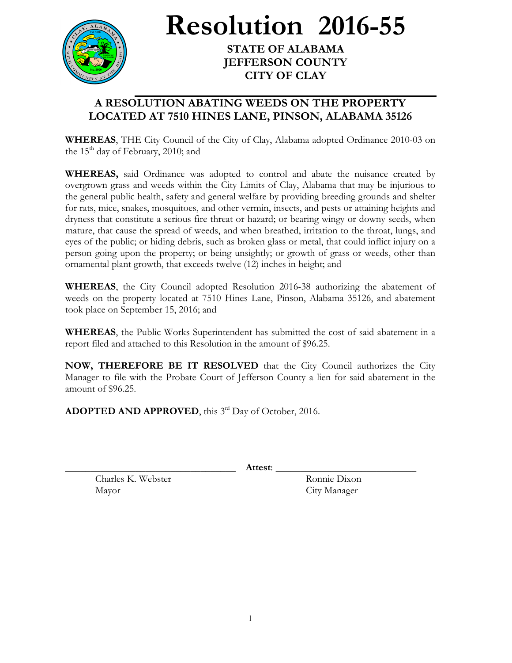

**Resolution 2016-55**

**STATE OF ALABAMA JEFFERSON COUNTY CITY OF CLAY**

## **A RESOLUTION ABATING WEEDS ON THE PROPERTY LOCATED AT 7510 HINES LANE, PINSON, ALABAMA 35126**

**WHEREAS**, THE City Council of the City of Clay, Alabama adopted Ordinance 2010-03 on the  $15<sup>th</sup>$  day of February, 2010; and

**WHEREAS,** said Ordinance was adopted to control and abate the nuisance created by overgrown grass and weeds within the City Limits of Clay, Alabama that may be injurious to the general public health, safety and general welfare by providing breeding grounds and shelter for rats, mice, snakes, mosquitoes, and other vermin, insects, and pests or attaining heights and dryness that constitute a serious fire threat or hazard; or bearing wingy or downy seeds, when mature, that cause the spread of weeds, and when breathed, irritation to the throat, lungs, and eyes of the public; or hiding debris, such as broken glass or metal, that could inflict injury on a person going upon the property; or being unsightly; or growth of grass or weeds, other than ornamental plant growth, that exceeds twelve (12) inches in height; and

**WHEREAS**, the City Council adopted Resolution 2016-38 authorizing the abatement of weeds on the property located at 7510 Hines Lane, Pinson, Alabama 35126, and abatement took place on September 15, 2016; and

**WHEREAS**, the Public Works Superintendent has submitted the cost of said abatement in a report filed and attached to this Resolution in the amount of \$96.25.

**NOW, THEREFORE BE IT RESOLVED** that the City Council authorizes the City Manager to file with the Probate Court of Jefferson County a lien for said abatement in the amount of \$96.25.

ADOPTED AND APPROVED, this 3<sup>rd</sup> Day of October, 2016.

\_\_\_\_\_\_\_\_\_\_\_\_\_\_\_\_\_\_\_\_\_\_\_\_\_\_\_\_\_\_\_\_\_\_ **Attest**: \_\_\_\_\_\_\_\_\_\_\_\_\_\_\_\_\_\_\_\_\_\_\_\_\_\_\_\_

Charles K. Webster Ronnie Dixon Mayor City Manager